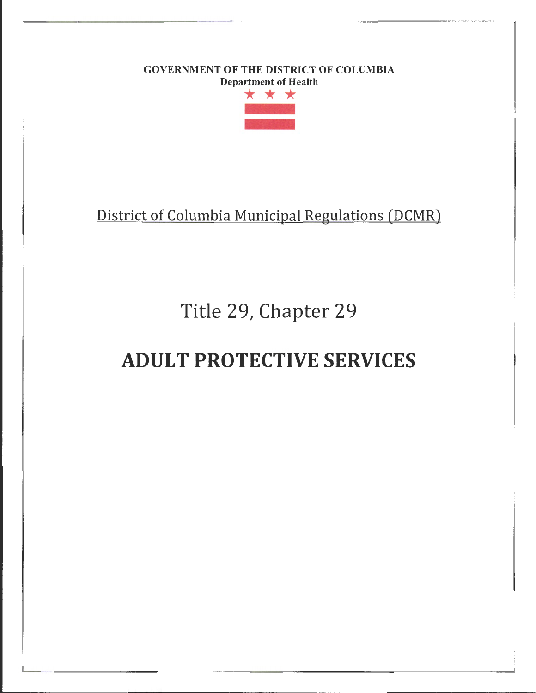# GOVERNMENT OF THE DISTRICT OF COLUMBIA



District of Columbia Municipal Regulations (DCMR)

# Title 29, Chapter 29

# ADULT PROTECTIVE SERVICES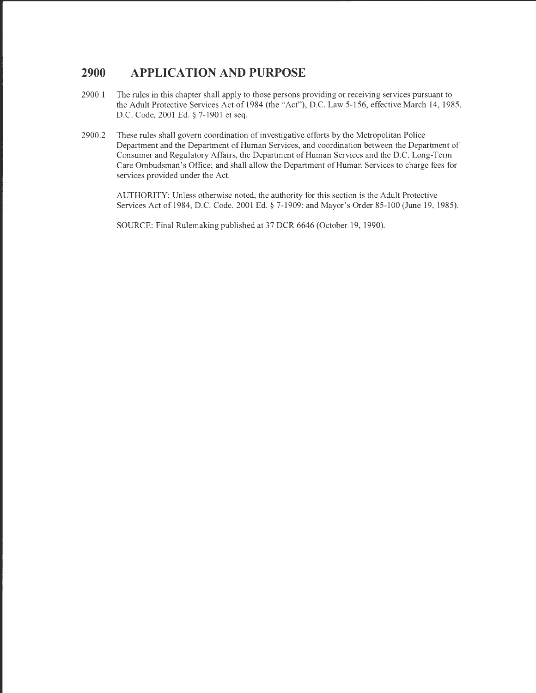#### **2900 APPLICATION AND PURPOSE**

- 2900.1 The rules in this chapter shall apply to those persons providing or receiving services pursuant to the Adult Protective Services Act of 1984 (the "Act"), D.C. Law 5-156, effective March 14, 1985, D.C. Code, 2001 Ed.§ 7-1901 et seq.
- 2900.2 These rules shall govern coordination of investigative efforts by the Metropolitan Police Department and the Department of Human Services, and coordination between the Department of Consumer and Regulatory Affairs, the Department of Human Services and the D.C. Long-Term Care Ombudsman's Office; and shall allow the Department ofHuman Services to charge fees for services provided under the Act.

AUTHORITY: Unless otherwise noted, the authority for this section is the Adult Protective Services Act of 1984, D.C. Code, 2001 Ed.§ 7-1909; and Mayor's Order 85-100 (June 19, 1985).

SOURCE: Final Rulemaking published at 37 DCR 6646 (October 19, 1990).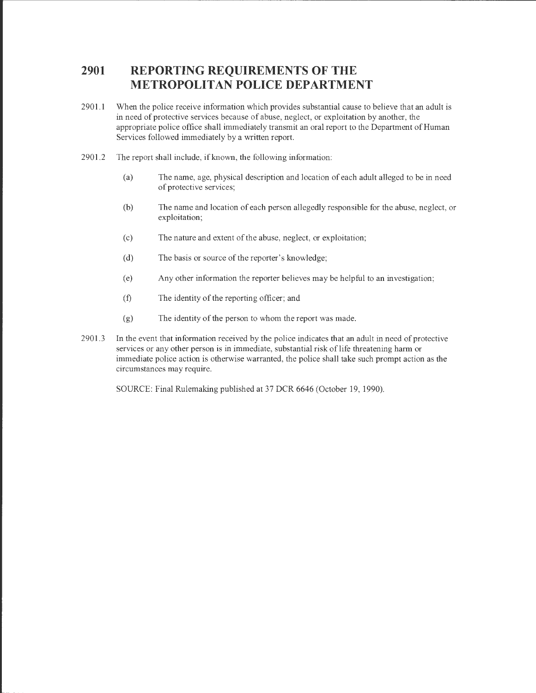### **2901 REPORTING REQUIREMENTS OF THE METROPOLITAN POLICE DEPARTMENT**

2901.1 When the police receive information which provides substantial cause to believe that an adult is in need of protective services because of abuse, neglect, or exploitation by another, the appropriate police office shall immediately transmit an oral report to the Department of Human Services followed immediately by a written report.

---------- ------------------ -------------------------------

- 2901.2 The report shall include, if known, the following information:
	- (a) The name, age, physical description and location of each adult alleged to be in need of protective services;
	- (b) The name and location of each person allegedly responsible for the abuse, neglect, or exploitation;
	- (c) The nature and extent of the abuse, neglect, or exploitation;
	- (d) The basis or source of the reporter's knowledge;
	- (e) Any other information the reporter believes may be helpful to an investigation;
	- (f) The identity of the reporting officer; and
	- (g) The identity of the person to whom the report was made.
- 2901 .3 In the event that information received by the police indicates that an adult in need of protective services or any other person is in immediate, substantial risk of life threatening harm or immediate police action is otherwise warranted, the police shall take such prompt action as the circumstances may require.

SOURCE: Final Rulemaking published at 37 DCR 6646 (October 19, 1990).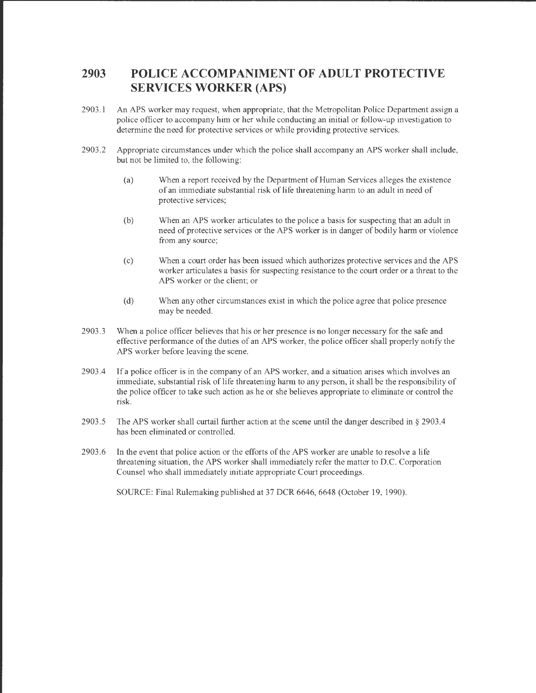### **2903 POLICE ACCOMPANIMENT OF ADULT PROTECTIVE SERVICES WORKER (APS)**

- 2903.1 An APS worker may request, when appropriate, that the Metropolitan Police Department assign a police officer to accompany him or her while conducting an initial or follow-up investigation to determine the need for protective services or while providing protective services.
- 2903 .2 Appropriate circumstances under which the police shall accompany an APS worker shall include, but not be limited to, the following:
	- (a) When a report received by the Department of Human Services alleges the existence of an immediate substantial risk of life threatening harm to an adult in need of protective services;
	- (b) When an APS worker articulates to the police a basis for suspecting that an adult in need of protective services or the APS worker is in danger of bodily harm or violence from any source;
	- (c) When a court order has been issued which authorizes protective services and the APS worker articulates a basis for suspecting resistance to the court order or a threat to the APS worker or the client; or
	- (d) When any other circumstances exist in which the police agree that police presence may be needed.
- 2903.3 When a police officer believes that his or her presence is no longer necessary for the safe and effective performance of the duties of an APS worker, the police officer shall properly notify the APS worker before leaving the scene.
- 2903.4 If a police officer is in the company of an APS worker, and a situation arises which involves an immediate, substantial risk of life threatening harm to any person, it shall be the responsibility of the police officer to take such action as he or she believes appropriate to eliminate or control the risk.
- 2903 .5 The APS worker shall curtail further action at the scene until the danger described in§ 2903.4 has been eliminated or controlled.
- 2903 .6 In the event that police action or the efforts of the APS worker are unable to resolve a life threatening situation, the APS worker shall immediately refer the matter to D.C. Corporation Counsel who shall immediately initiate appropriate Court proceedings.

SOURCE: Final Rulemaking published at 37 DCR 6646, 6648 (October 19, 1990).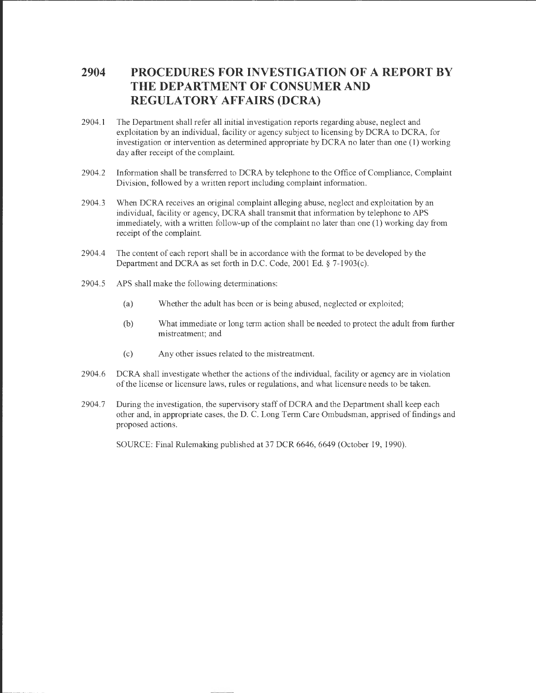### **2904 PROCEDURES FOR INVESTIGATION OF A REPORT BY THE DEPARTMENT OF CONSUMER AND REGULATORY AFFAIRS (DCRA)**

- 2904.1 The Department shall refer all initial investigation reports regarding abuse, neglect and exploitation by an individual, facility or agency subject to licensing by DCRA to DCRA, for investigation or intervention as determined appropriate by DCRA no later than one (1) working day after receipt of the complaint.
- 2904.2 Information shall be transferred to DCRA by telephone to the Office of Compliance, Complaint Division, followed by a written report including complaint information.
- 2904.3 When DCRA receives an original complaint alleging abuse, neglect and exploitation by an individual, facility or agency, DCRA shall transmit that information by telephone to APS immediately, with a written follow-up of the complaint no later than one (1) working day from receipt of the complaint.
- 2904.4 The content of each report shall be in accordance with the format to be developed by the Department and DCRA as set forth in D.C. Code, 2001 Ed.§ 7-1903(c).
- 2904.5 APS shall make the following determinations:
	- (a) Whether the adult has been or is being abused, neglected or exploited;
	- (b) What immediate or long term action shall be needed to protect the adult from further mistreatment; and
	- (c) Any other issues related to the mistreatment.
- 2904.6 DCRA shall investigate whether the actions of the individual, facility or agency are in violation of the license or licensure laws, rules or regulations, and what licensure needs to be taken.
- 2904.7 During the investigation, the supervisory staff ofDCRA and the Department shall keep each other and, in appropriate cases, the D. C. Long Term Care Ombudsman, apprised of findings and proposed actions.

SOURCE: Final Rulemaking published at 37 DCR 6646, 6649 (October 19, 1990).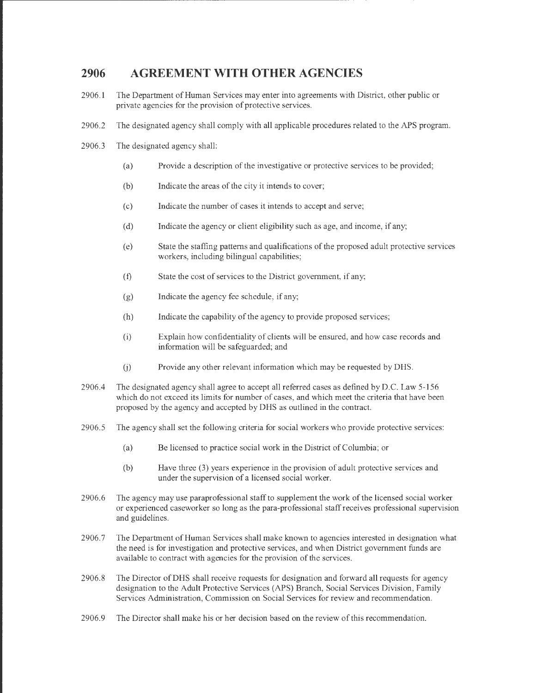#### **2906 AGREEMENT WITH OTHER AGENCIES**

- 2906.1 The Department of Human Services may enter into agreements with District, other public or private agencies for the provision of protective services.
- 2906.2 The designated agency shall comply with all applicable procedures related to the APS program.
- 2906.3 The designated agency shall:

. The contract of the contract of the contract of the contract of the contract of the contract of the contract of the contract of the contract of the contract of the contract of the contract of the contract of the contrac

- (a) Provide a description of the investigative or protective services to be provided;
- (b) Indicate the areas of the city it intends to cover;
- (c) Indicate the number of cases it intends to accept and serve;
- (d) Indicate the agency or client eligibility such as age, and income, if any;
- (e) State the staffing patterns and qualifications of the proposed adult protective services workers, including bilingual capabilities;
- (f) State the cost of services to the District government, if any;
- (g) Indicate the agency fee schedule, if any;
- (h) Indicate the capability of the agency to provide proposed services;
- (i) Explain how confidentiality of clients will be ensured, and how case records and information will be safeguarded; and
- (j) Provide any other relevant information which may be requested by DHS.
- 2906.4 The designated agency shall agree to accept all referred cases as defined by D.C. Law 5-156 which do not exceed its limits for number of cases, and which meet the criteria that have been proposed by the agency and accepted by DHS as outlined in the contract.
- 2906.5 The agency shall set the following criteria for social workers who provide protective services:
	- (a) Be licensed to practice social work in the District of Columbia; or
	- (b) Have three (3) years experience in the provision of adult protective services and under the supervision of a licensed social worker.
- 2906.6 The agency may use paraprofessional staff to supplement the work of the licensed social worker or experienced caseworker so long as the para-professional staff receives professional supervision and guidelines.
- 2906.7 The Department of Human Services shall make known to agencies interested in designation what the need is for investigation and protective services, and when District government funds are available to contract with agencies for the provision of the services.
- 2906.8 The Director ofDHS shall receive requests for designation and forward all requests for agency designation to the Adult Protective Services (APS) Branch, Social Services Division, Family Services Administration, Commission on Social Services for review and recommendation.
- 2906.9 The Director shall make his or her decision based on the review of this recommendation.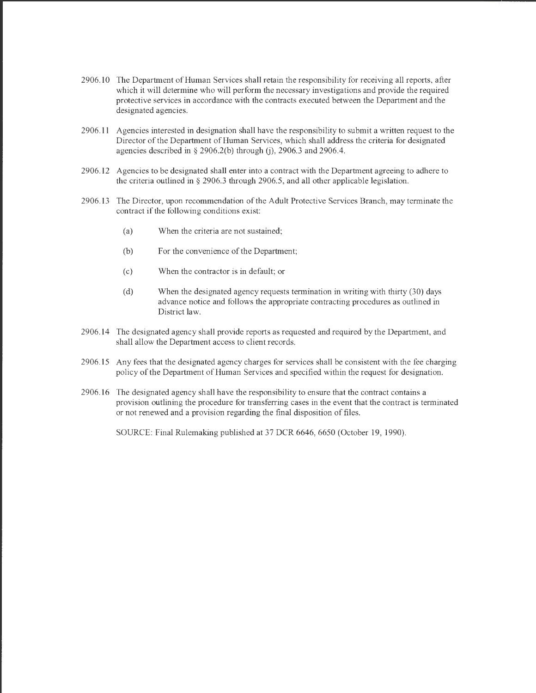- 2906.10 The Department of Human Services shall retain the responsibility for receiving all reports, after which it will determine who will perform the necessary investigations and provide the required protective services in accordance with the contracts executed between the Department and the designated agencies.
- 2906.11 Agencies interested in designation shall have the responsibility to submit a written request to the Director of the Department of Human Services, which shall address the criteria for designated agencies described in  $\S$  2906.2(b) through (j), 2906.3 and 2906.4.
- 2906.12 Agencies to be designated shall enter into a contract with the Department agreeing to adhere to the criteria outlined in § 2906.3 through 2906.5, and all other applicable legislation.
- 2906.13 The Director, upon recommendation of the Adult Protective Services Branch, may terminate the contract if the following conditions exist:
	- (a) When the criteria are not sustained;
	- (b) For the convenience of the Department;
	- (c) When the contractor is in default; or
	- (d) When the designated agency requests termination in writing with thirty (30) days advance notice and follows the appropriate contracting procedures as outlined in District law.
- 2906.14 The designated agency shall provide reports as requested and required by the Department, and shall allow the Department access to client records.
- 2906.15 Any fees that the designated agency charges for services shall be consistent with the fee charging policy of the Department of Human Services and specified within the request for designation.
- 2906.16 The designated agency shall have the responsibility to ensure that the contract contains a provision outlining the procedure for transferring cases in the event that the contract is terminated or not renewed and a provision regarding the final disposition of files.

SOURCE: Final Rulemaking published at 37 DCR 6646, 6650 (October 19, 1990).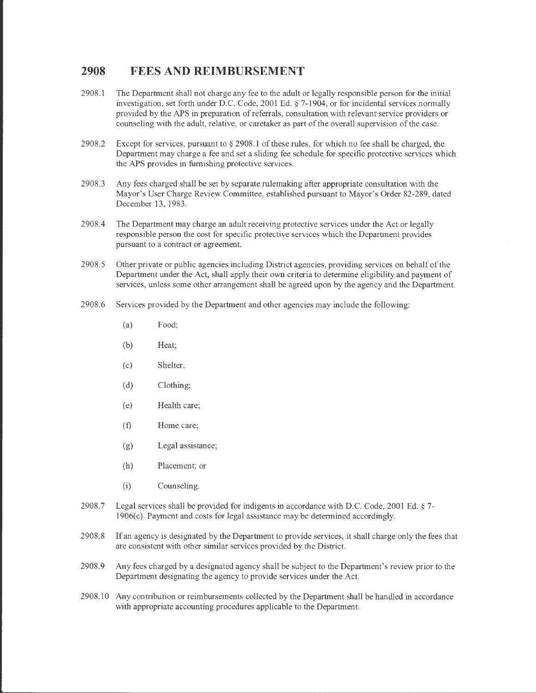#### **2908 FEES AND REIMBURSEMENT**

- 2908.1 The Department shall not charge any fee to the adult or legally responsible person for the initial investigation, set forth under D.C. Code, 2001 Ed.§ 7-1904, or for incidental services normally provided by the APS in preparation of referrals, consultation with relevant service providers or counseling with the adult, relative, or caretaker as part of the overall supervision of the case.
- 2908.2 Except for services, pursuant to § 2908.1 of these rules, for which no fee shall be charged, the Department may charge a fee and set a sliding fee schedule for specific protective services which the APS provides in furnishing protective services.
- 2908.3 Any fees charged shall be set by separate rulemaking after appropriate consultation with the Mayor's User Charge Review Committee, established pursuant to Mayor's Order 82-289, dated December 13, 1983.
- 2908.4 The Department may charge an adult receiving protective services under the Act or legally responsible person the cost for specific protective services which the Department provides pursuant to a contract or agreement.
- 2908 .5 Other private or public agencies including District agencies, providing services on behalf of the Department under the Act, shall apply their own criteria to determine eligibility and payment of services, unless some other arrangement shall be agreed upon by the agency and the Department.
- 2908.6 Services provided by the Department and other agencies may include the following:
	- (a) Food;
	- (b) Heat;
	- (c) Shelter;
	- (d) Clothing;
	- (e) Health care;
	- (f) Home care;
	- (g) Legal assistance;
	- (h) Placement; or
	- (i) Counseling.
- 2908.7 Legal services shall be provided for indigents in accordance with D.C. Code, 2001 Ed. § 7- 1906(c). Payment and costs for legal assistance may be determined accordingly.
- 2908.8 If an agency is designated by the Department to provide services, it shall charge only the fees that are consistent with other similar services provided by the District.
- 2908.9 Any fees charged by a designated agency shall be subject to the Department's review prior to the Department designating the agency to provide services under the Act.
- 2908.10 Any contribution or reimbursements collected by the Department shall be handled in accordance with appropriate accounting procedures applicable to the Department.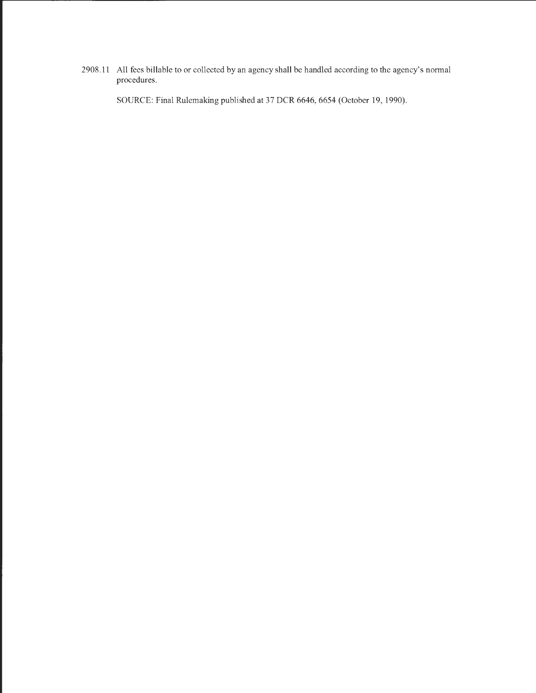2908.11 All fees billable to or collected by an agency shall be handled according to the agency's normal procedures.

SOURCE: Final Rulemaking published at 37 DCR 6646, 6654 (October 19, 1990).